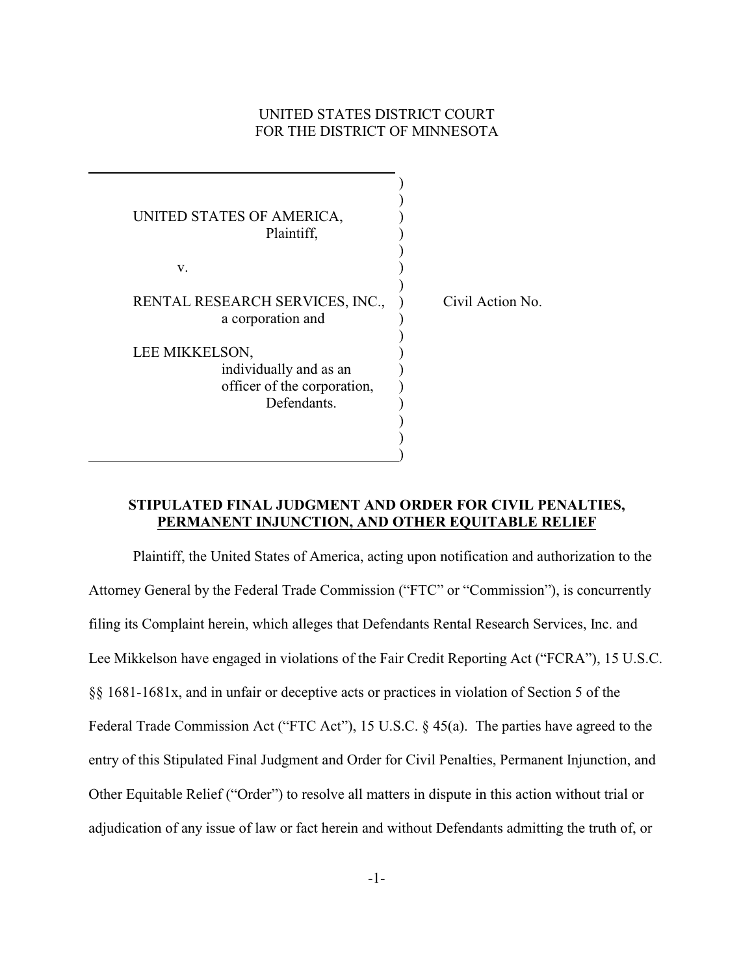# UNITED STATES DISTRICT COURT FOR THE DISTRICT OF MINNESOTA

| UNITED STATES OF AMERICA,<br>Plaintiff,                                                |                  |
|----------------------------------------------------------------------------------------|------------------|
| v.                                                                                     |                  |
| RENTAL RESEARCH SERVICES, INC.,<br>a corporation and                                   | Civil Action No. |
| LEE MIKKELSON,<br>individually and as an<br>officer of the corporation,<br>Defendants. |                  |
|                                                                                        |                  |

 $\overline{a}$ 

# **STIPULATED FINAL JUDGMENT AND ORDER FOR CIVIL PENALTIES, PERMANENT INJUNCTION, AND OTHER EQUITABLE RELIEF**

Plaintiff, the United States of America, acting upon notification and authorization to the Attorney General by the Federal Trade Commission ("FTC" or "Commission"), is concurrently filing its Complaint herein, which alleges that Defendants Rental Research Services, Inc. and Lee Mikkelson have engaged in violations of the Fair Credit Reporting Act ("FCRA"), 15 U.S.C. §§ 1681-1681x, and in unfair or deceptive acts or practices in violation of Section 5 of the Federal Trade Commission Act ("FTC Act"), 15 U.S.C. § 45(a). The parties have agreed to the entry of this Stipulated Final Judgment and Order for Civil Penalties, Permanent Injunction, and Other Equitable Relief ("Order") to resolve all matters in dispute in this action without trial or adjudication of any issue of law or fact herein and without Defendants admitting the truth of, or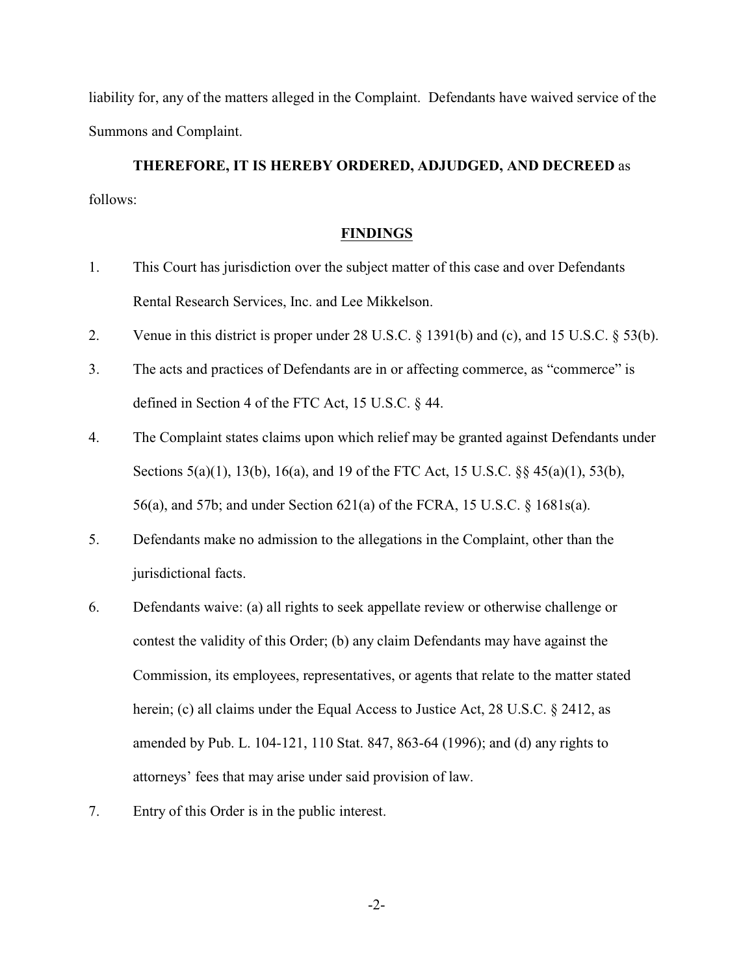liability for, any of the matters alleged in the Complaint. Defendants have waived service of the Summons and Complaint.

**THEREFORE, IT IS HEREBY ORDERED, ADJUDGED, AND DECREED** as follows:

### **FINDINGS**

- 1. This Court has jurisdiction over the subject matter of this case and over Defendants Rental Research Services, Inc. and Lee Mikkelson.
- 2. Venue in this district is proper under 28 U.S.C. § 1391(b) and (c), and 15 U.S.C. § 53(b).
- 3. The acts and practices of Defendants are in or affecting commerce, as "commerce" is defined in Section 4 of the FTC Act, 15 U.S.C. § 44.
- 4. The Complaint states claims upon which relief may be granted against Defendants under Sections 5(a)(1), 13(b), 16(a), and 19 of the FTC Act, 15 U.S.C. §§ 45(a)(1), 53(b), 56(a), and 57b; and under Section 621(a) of the FCRA, 15 U.S.C. § 1681s(a).
- 5. Defendants make no admission to the allegations in the Complaint, other than the jurisdictional facts.
- 6. Defendants waive: (a) all rights to seek appellate review or otherwise challenge or contest the validity of this Order; (b) any claim Defendants may have against the Commission, its employees, representatives, or agents that relate to the matter stated herein; (c) all claims under the Equal Access to Justice Act, 28 U.S.C. § 2412, as amended by Pub. L. 104-121, 110 Stat. 847, 863-64 (1996); and (d) any rights to attorneys' fees that may arise under said provision of law.
- 7. Entry of this Order is in the public interest.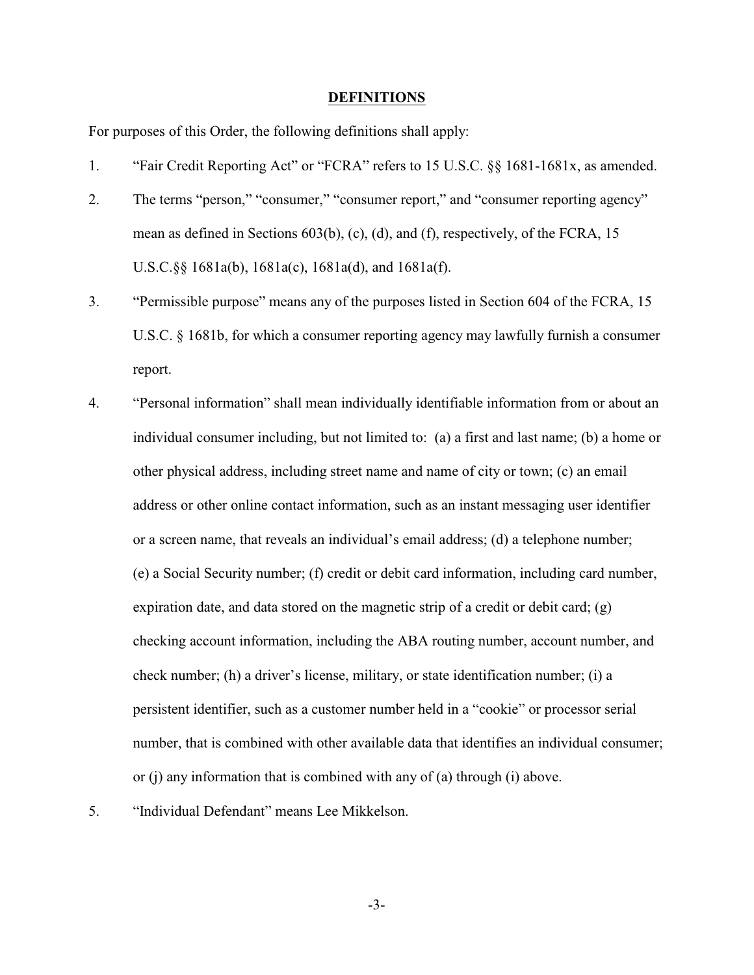#### **DEFINITIONS**

For purposes of this Order, the following definitions shall apply:

- 1. "Fair Credit Reporting Act" or "FCRA" refers to 15 U.S.C. §§ 1681-1681x, as amended.
- 2. The terms "person," "consumer," "consumer report," and "consumer reporting agency" mean as defined in Sections 603(b), (c), (d), and (f), respectively, of the FCRA, 15 U.S.C.§§ 1681a(b), 1681a(c), 1681a(d), and 1681a(f).
- 3. "Permissible purpose" means any of the purposes listed in Section 604 of the FCRA, 15 U.S.C. § 1681b, for which a consumer reporting agency may lawfully furnish a consumer report.
- 4. "Personal information" shall mean individually identifiable information from or about an individual consumer including, but not limited to: (a) a first and last name; (b) a home or other physical address, including street name and name of city or town; (c) an email address or other online contact information, such as an instant messaging user identifier or a screen name, that reveals an individual's email address; (d) a telephone number; (e) a Social Security number; (f) credit or debit card information, including card number, expiration date, and data stored on the magnetic strip of a credit or debit card;  $(g)$ checking account information, including the ABA routing number, account number, and check number; (h) a driver's license, military, or state identification number; (i) a persistent identifier, such as a customer number held in a "cookie" or processor serial number, that is combined with other available data that identifies an individual consumer; or (j) any information that is combined with any of (a) through (i) above.
- 
- 5. "Individual Defendant" means Lee Mikkelson.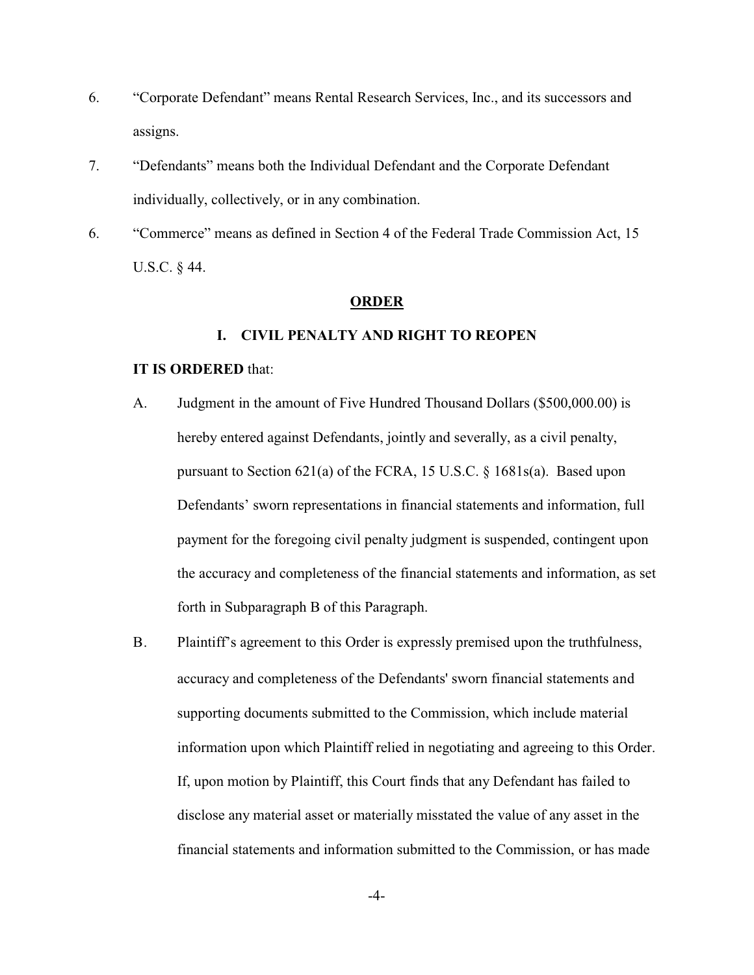- 6. "Corporate Defendant" means Rental Research Services, Inc., and its successors and assigns.
- 7. "Defendants" means both the Individual Defendant and the Corporate Defendant individually, collectively, or in any combination.
- 6. "Commerce" means as defined in Section 4 of the Federal Trade Commission Act, 15 U.S.C. § 44.

#### **ORDER**

### **I. CIVIL PENALTY AND RIGHT TO REOPEN**

## **IT IS ORDERED** that:

- A. Judgment in the amount of Five Hundred Thousand Dollars (\$500,000.00) is hereby entered against Defendants, jointly and severally, as a civil penalty, pursuant to Section 621(a) of the FCRA, 15 U.S.C. § 1681s(a). Based upon Defendants' sworn representations in financial statements and information, full payment for the foregoing civil penalty judgment is suspended, contingent upon the accuracy and completeness of the financial statements and information, as set forth in Subparagraph B of this Paragraph.
- B. Plaintiff's agreement to this Order is expressly premised upon the truthfulness, accuracy and completeness of the Defendants' sworn financial statements and supporting documents submitted to the Commission, which include material information upon which Plaintiff relied in negotiating and agreeing to this Order. If, upon motion by Plaintiff, this Court finds that any Defendant has failed to disclose any material asset or materially misstated the value of any asset in the financial statements and information submitted to the Commission, or has made

-4-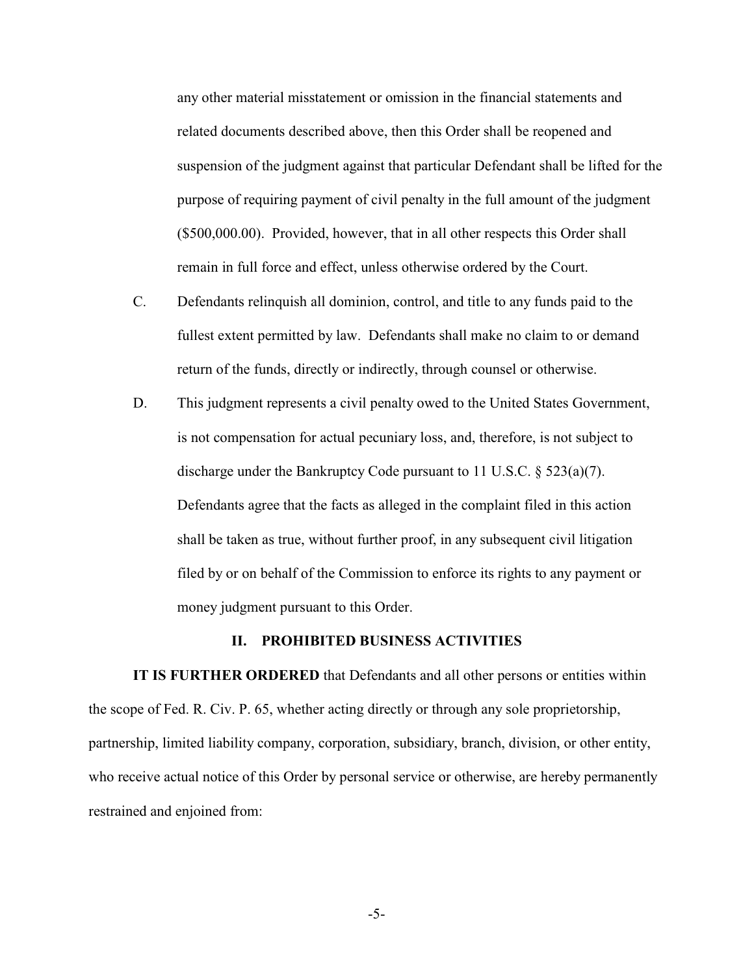any other material misstatement or omission in the financial statements and related documents described above, then this Order shall be reopened and suspension of the judgment against that particular Defendant shall be lifted for the purpose of requiring payment of civil penalty in the full amount of the judgment (\$500,000.00). Provided, however, that in all other respects this Order shall remain in full force and effect, unless otherwise ordered by the Court.

- C. Defendants relinquish all dominion, control, and title to any funds paid to the fullest extent permitted by law. Defendants shall make no claim to or demand return of the funds, directly or indirectly, through counsel or otherwise.
- D. This judgment represents a civil penalty owed to the United States Government, is not compensation for actual pecuniary loss, and, therefore, is not subject to discharge under the Bankruptcy Code pursuant to 11 U.S.C. § 523(a)(7). Defendants agree that the facts as alleged in the complaint filed in this action shall be taken as true, without further proof, in any subsequent civil litigation filed by or on behalf of the Commission to enforce its rights to any payment or money judgment pursuant to this Order.

### **II. PROHIBITED BUSINESS ACTIVITIES**

**IT IS FURTHER ORDERED** that Defendants and all other persons or entities within the scope of Fed. R. Civ. P. 65, whether acting directly or through any sole proprietorship, partnership, limited liability company, corporation, subsidiary, branch, division, or other entity, who receive actual notice of this Order by personal service or otherwise, are hereby permanently restrained and enjoined from: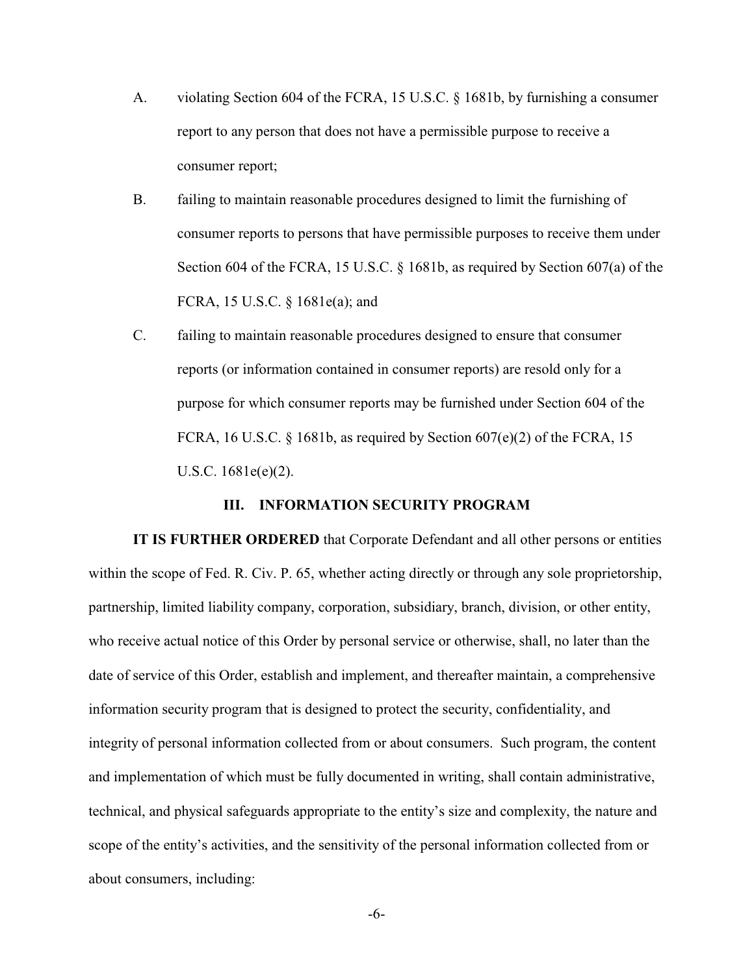- A. violating Section 604 of the FCRA, 15 U.S.C. § 1681b, by furnishing a consumer report to any person that does not have a permissible purpose to receive a consumer report;
- B. failing to maintain reasonable procedures designed to limit the furnishing of consumer reports to persons that have permissible purposes to receive them under Section 604 of the FCRA, 15 U.S.C. § 1681b, as required by Section 607(a) of the FCRA, 15 U.S.C. § 1681e(a); and
- C. failing to maintain reasonable procedures designed to ensure that consumer reports (or information contained in consumer reports) are resold only for a purpose for which consumer reports may be furnished under Section 604 of the FCRA, 16 U.S.C. § 1681b, as required by Section  $607(e)(2)$  of the FCRA, 15 U.S.C. 1681e(e)(2).

## **III. INFORMATION SECURITY PROGRAM**

**IT IS FURTHER ORDERED** that Corporate Defendant and all other persons or entities within the scope of Fed. R. Civ. P. 65, whether acting directly or through any sole proprietorship, partnership, limited liability company, corporation, subsidiary, branch, division, or other entity, who receive actual notice of this Order by personal service or otherwise, shall, no later than the date of service of this Order, establish and implement, and thereafter maintain, a comprehensive information security program that is designed to protect the security, confidentiality, and integrity of personal information collected from or about consumers. Such program, the content and implementation of which must be fully documented in writing, shall contain administrative, technical, and physical safeguards appropriate to the entity's size and complexity, the nature and scope of the entity's activities, and the sensitivity of the personal information collected from or about consumers, including: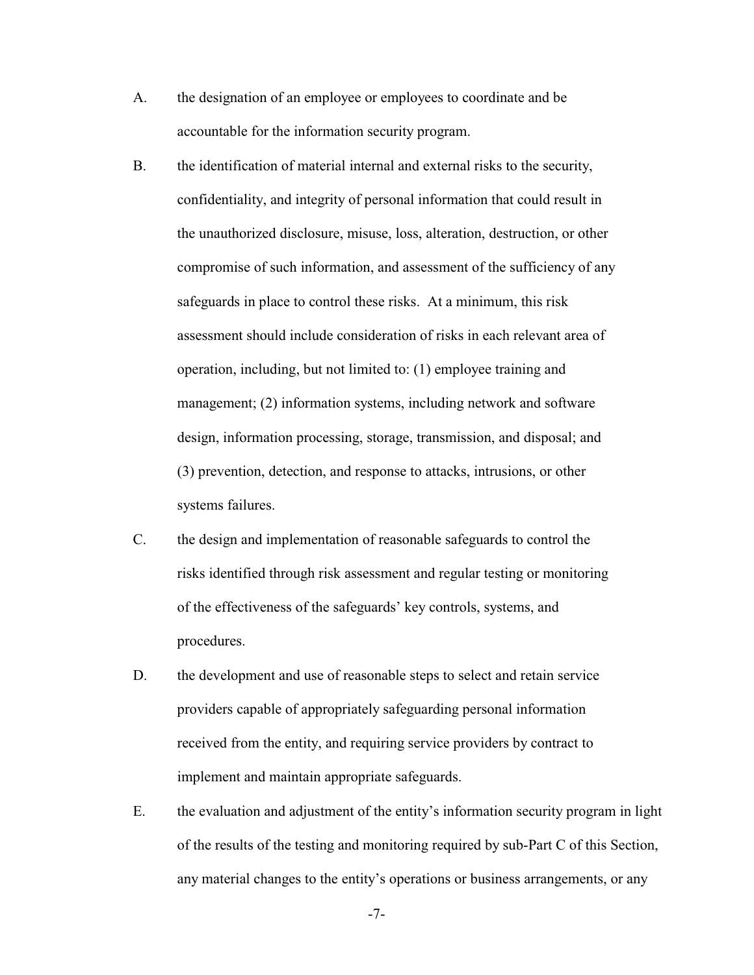- A. the designation of an employee or employees to coordinate and be accountable for the information security program.
- B. the identification of material internal and external risks to the security, confidentiality, and integrity of personal information that could result in the unauthorized disclosure, misuse, loss, alteration, destruction, or other compromise of such information, and assessment of the sufficiency of any safeguards in place to control these risks. At a minimum, this risk assessment should include consideration of risks in each relevant area of operation, including, but not limited to: (1) employee training and management; (2) information systems, including network and software design, information processing, storage, transmission, and disposal; and (3) prevention, detection, and response to attacks, intrusions, or other systems failures.
- C. the design and implementation of reasonable safeguards to control the risks identified through risk assessment and regular testing or monitoring of the effectiveness of the safeguards' key controls, systems, and procedures.
- D. the development and use of reasonable steps to select and retain service providers capable of appropriately safeguarding personal information received from the entity, and requiring service providers by contract to implement and maintain appropriate safeguards.
- E. the evaluation and adjustment of the entity's information security program in light of the results of the testing and monitoring required by sub-Part C of this Section, any material changes to the entity's operations or business arrangements, or any

-7-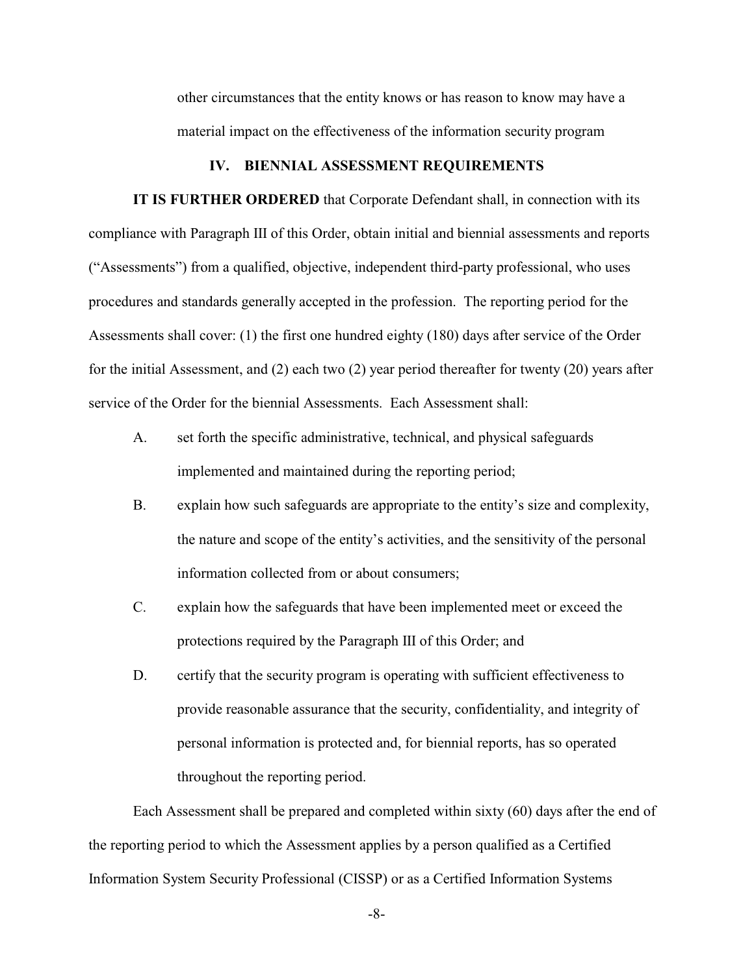other circumstances that the entity knows or has reason to know may have a material impact on the effectiveness of the information security program

#### **IV. BIENNIAL ASSESSMENT REQUIREMENTS**

**IT IS FURTHER ORDERED** that Corporate Defendant shall, in connection with its compliance with Paragraph III of this Order, obtain initial and biennial assessments and reports ("Assessments") from a qualified, objective, independent third-party professional, who uses procedures and standards generally accepted in the profession. The reporting period for the Assessments shall cover: (1) the first one hundred eighty (180) days after service of the Order for the initial Assessment, and (2) each two (2) year period thereafter for twenty (20) years after service of the Order for the biennial Assessments. Each Assessment shall:

- A. set forth the specific administrative, technical, and physical safeguards implemented and maintained during the reporting period;
- B. explain how such safeguards are appropriate to the entity's size and complexity, the nature and scope of the entity's activities, and the sensitivity of the personal information collected from or about consumers;
- C. explain how the safeguards that have been implemented meet or exceed the protections required by the Paragraph III of this Order; and
- D. certify that the security program is operating with sufficient effectiveness to provide reasonable assurance that the security, confidentiality, and integrity of personal information is protected and, for biennial reports, has so operated throughout the reporting period.

Each Assessment shall be prepared and completed within sixty (60) days after the end of the reporting period to which the Assessment applies by a person qualified as a Certified Information System Security Professional (CISSP) or as a Certified Information Systems

-8-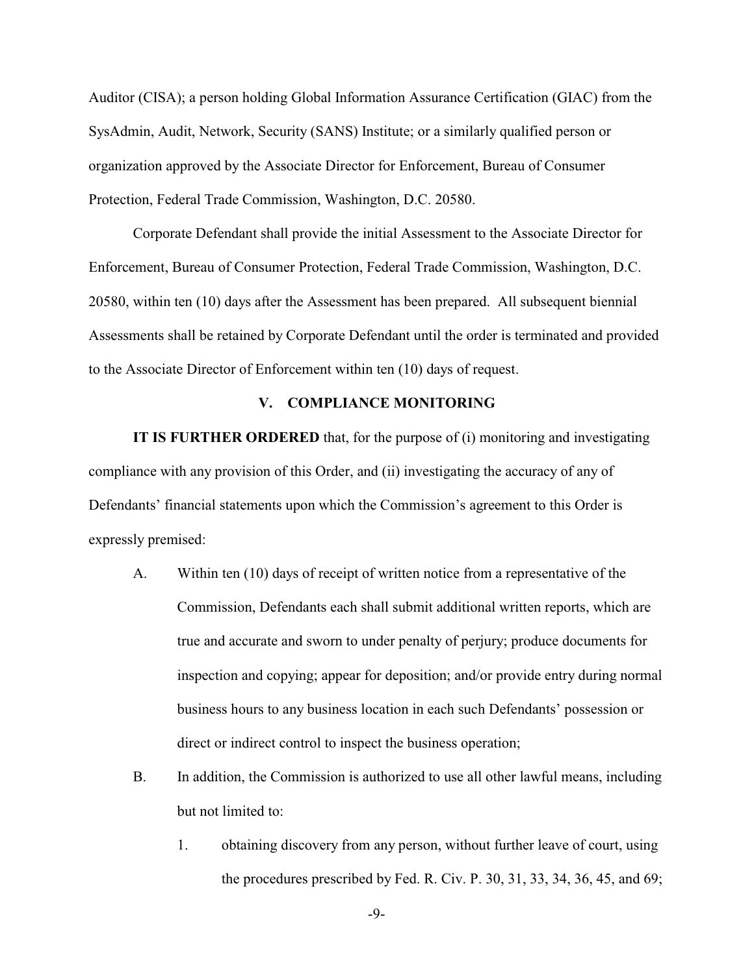Auditor (CISA); a person holding Global Information Assurance Certification (GIAC) from the SysAdmin, Audit, Network, Security (SANS) Institute; or a similarly qualified person or organization approved by the Associate Director for Enforcement, Bureau of Consumer Protection, Federal Trade Commission, Washington, D.C. 20580.

Corporate Defendant shall provide the initial Assessment to the Associate Director for Enforcement, Bureau of Consumer Protection, Federal Trade Commission, Washington, D.C. 20580, within ten (10) days after the Assessment has been prepared. All subsequent biennial Assessments shall be retained by Corporate Defendant until the order is terminated and provided to the Associate Director of Enforcement within ten (10) days of request.

### **V. COMPLIANCE MONITORING**

**IT IS FURTHER ORDERED** that, for the purpose of (i) monitoring and investigating compliance with any provision of this Order, and (ii) investigating the accuracy of any of Defendants' financial statements upon which the Commission's agreement to this Order is expressly premised:

- A. Within ten (10) days of receipt of written notice from a representative of the Commission, Defendants each shall submit additional written reports, which are true and accurate and sworn to under penalty of perjury; produce documents for inspection and copying; appear for deposition; and/or provide entry during normal business hours to any business location in each such Defendants' possession or direct or indirect control to inspect the business operation;
- B. In addition, the Commission is authorized to use all other lawful means, including but not limited to:
	- 1. obtaining discovery from any person, without further leave of court, using the procedures prescribed by Fed. R. Civ. P. 30, 31, 33, 34, 36, 45, and 69;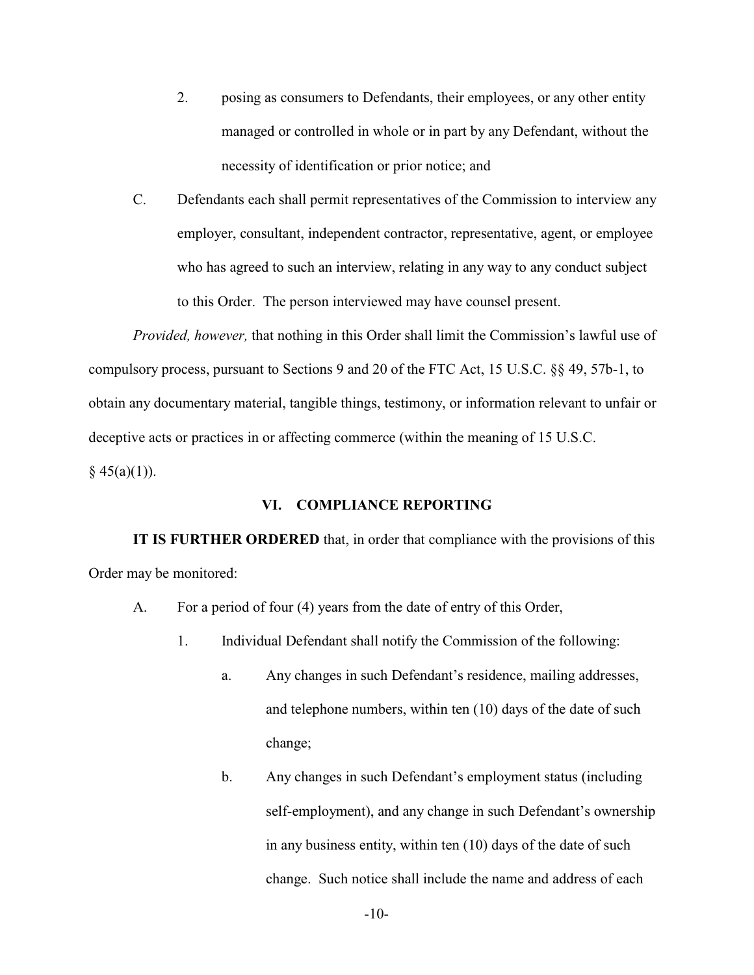- 2. posing as consumers to Defendants, their employees, or any other entity managed or controlled in whole or in part by any Defendant, without the necessity of identification or prior notice; and
- C. Defendants each shall permit representatives of the Commission to interview any employer, consultant, independent contractor, representative, agent, or employee who has agreed to such an interview, relating in any way to any conduct subject to this Order. The person interviewed may have counsel present.

*Provided, however,* that nothing in this Order shall limit the Commission's lawful use of compulsory process, pursuant to Sections 9 and 20 of the FTC Act, 15 U.S.C. §§ 49, 57b-1, to obtain any documentary material, tangible things, testimony, or information relevant to unfair or deceptive acts or practices in or affecting commerce (within the meaning of 15 U.S.C.  $§ 45(a)(1)).$ 

## **VI. COMPLIANCE REPORTING**

**IT IS FURTHER ORDERED** that, in order that compliance with the provisions of this Order may be monitored:

- A. For a period of four (4) years from the date of entry of this Order,
	- 1. Individual Defendant shall notify the Commission of the following:
		- a. Any changes in such Defendant's residence, mailing addresses, and telephone numbers, within ten (10) days of the date of such change;
		- b. Any changes in such Defendant's employment status (including self-employment), and any change in such Defendant's ownership in any business entity, within ten (10) days of the date of such change. Such notice shall include the name and address of each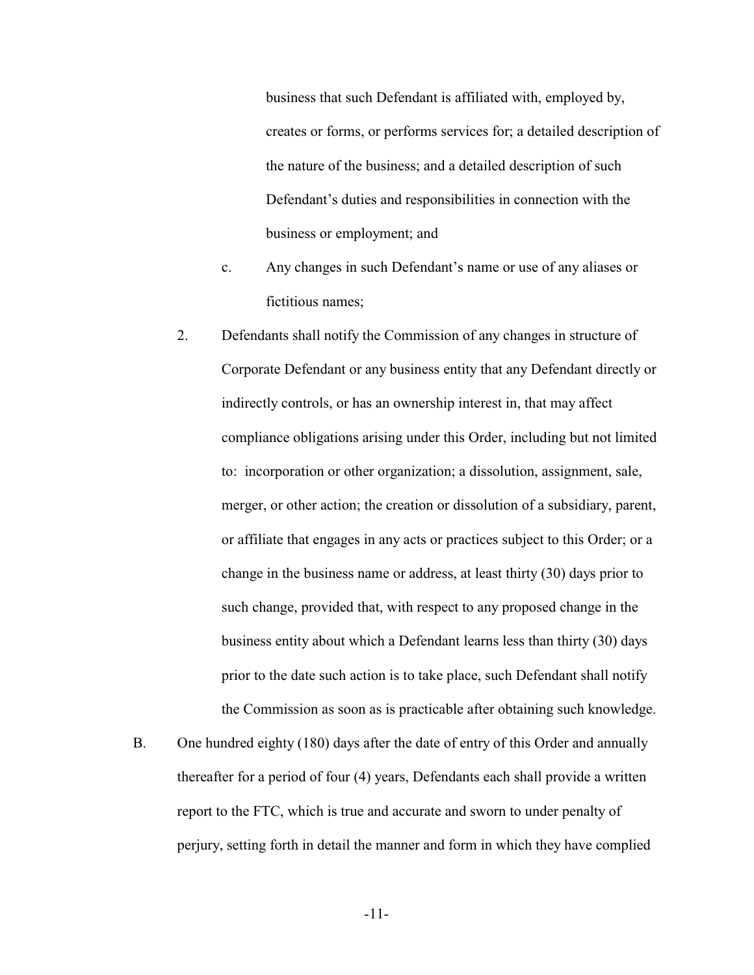business that such Defendant is affiliated with, employed by, creates or forms, or performs services for; a detailed description of the nature of the business; and a detailed description of such Defendant's duties and responsibilities in connection with the business or employment; and

- c. Any changes in such Defendant's name or use of any aliases or fictitious names;
- 2. Defendants shall notify the Commission of any changes in structure of Corporate Defendant or any business entity that any Defendant directly or indirectly controls, or has an ownership interest in, that may affect compliance obligations arising under this Order, including but not limited to: incorporation or other organization; a dissolution, assignment, sale, merger, or other action; the creation or dissolution of a subsidiary, parent, or affiliate that engages in any acts or practices subject to this Order; or a change in the business name or address, at least thirty (30) days prior to such change, provided that, with respect to any proposed change in the business entity about which a Defendant learns less than thirty (30) days prior to the date such action is to take place, such Defendant shall notify the Commission as soon as is practicable after obtaining such knowledge.
- B. One hundred eighty (180) days after the date of entry of this Order and annually thereafter for a period of four (4) years, Defendants each shall provide a written report to the FTC, which is true and accurate and sworn to under penalty of perjury, setting forth in detail the manner and form in which they have complied

-11-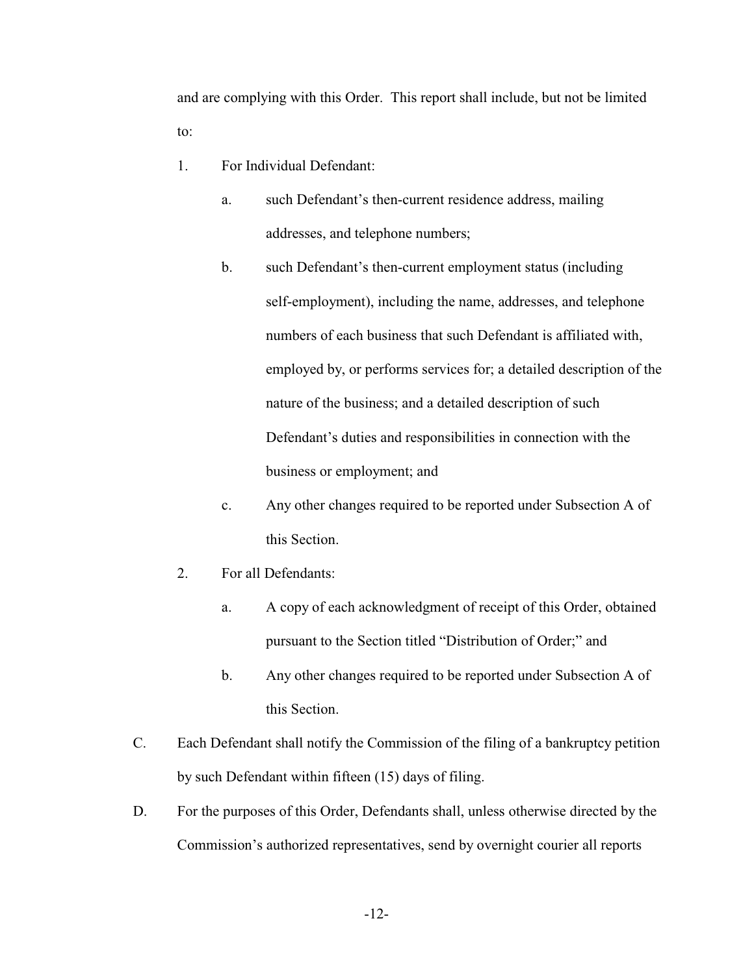and are complying with this Order. This report shall include, but not be limited to:

- 1. For Individual Defendant:
	- a. such Defendant's then-current residence address, mailing addresses, and telephone numbers;
	- b. such Defendant's then-current employment status (including self-employment), including the name, addresses, and telephone numbers of each business that such Defendant is affiliated with, employed by, or performs services for; a detailed description of the nature of the business; and a detailed description of such Defendant's duties and responsibilities in connection with the business or employment; and
	- c. Any other changes required to be reported under Subsection A of this Section.
- 2. For all Defendants:
	- a. A copy of each acknowledgment of receipt of this Order, obtained pursuant to the Section titled "Distribution of Order;" and
	- b. Any other changes required to be reported under Subsection A of this Section.
- C. Each Defendant shall notify the Commission of the filing of a bankruptcy petition by such Defendant within fifteen (15) days of filing.
- D. For the purposes of this Order, Defendants shall, unless otherwise directed by the Commission's authorized representatives, send by overnight courier all reports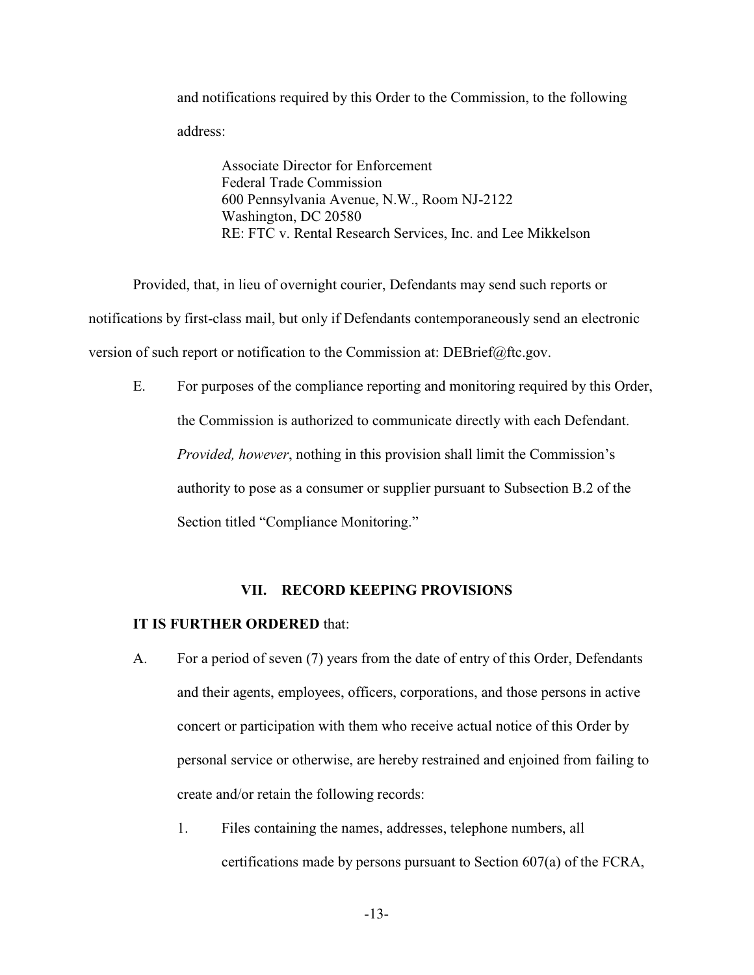and notifications required by this Order to the Commission, to the following address:

Associate Director for Enforcement Federal Trade Commission 600 Pennsylvania Avenue, N.W., Room NJ-2122 Washington, DC 20580 RE: FTC v. Rental Research Services, Inc. and Lee Mikkelson

Provided, that, in lieu of overnight courier, Defendants may send such reports or notifications by first-class mail, but only if Defendants contemporaneously send an electronic version of such report or notification to the Commission at: DEBrief@ftc.gov.

E. For purposes of the compliance reporting and monitoring required by this Order, the Commission is authorized to communicate directly with each Defendant. *Provided, however*, nothing in this provision shall limit the Commission's authority to pose as a consumer or supplier pursuant to Subsection B.2 of the Section titled "Compliance Monitoring."

# **VII. RECORD KEEPING PROVISIONS**

## **IT IS FURTHER ORDERED** that:

- A. For a period of seven (7) years from the date of entry of this Order, Defendants and their agents, employees, officers, corporations, and those persons in active concert or participation with them who receive actual notice of this Order by personal service or otherwise, are hereby restrained and enjoined from failing to create and/or retain the following records:
	- 1. Files containing the names, addresses, telephone numbers, all certifications made by persons pursuant to Section 607(a) of the FCRA,

-13-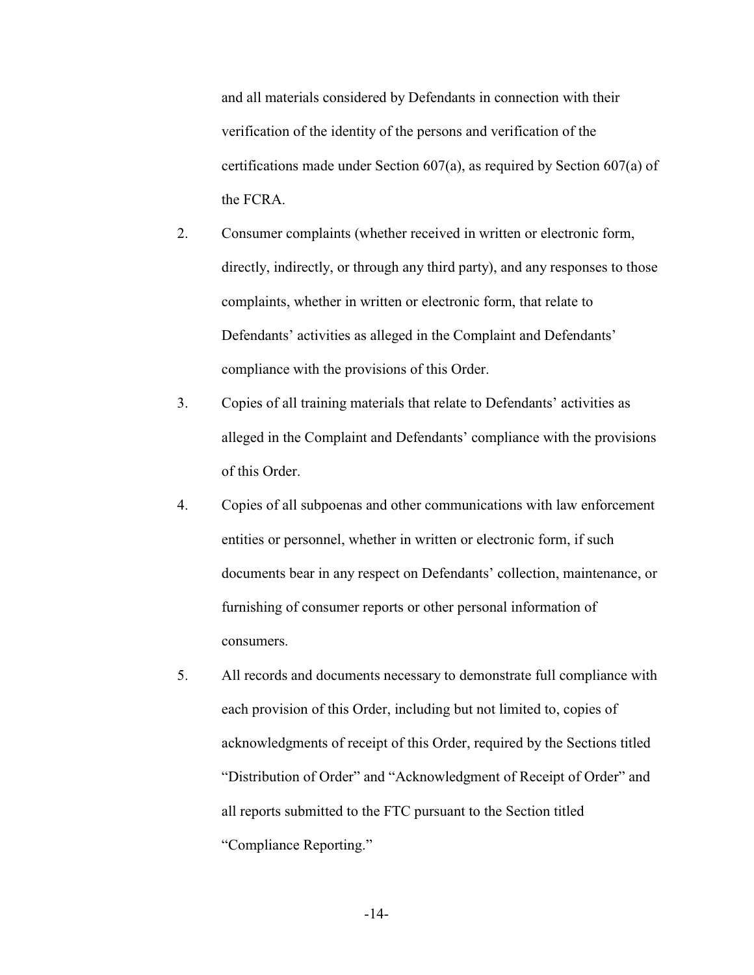and all materials considered by Defendants in connection with their verification of the identity of the persons and verification of the certifications made under Section 607(a), as required by Section 607(a) of the FCRA.

- 2. Consumer complaints (whether received in written or electronic form, directly, indirectly, or through any third party), and any responses to those complaints, whether in written or electronic form, that relate to Defendants' activities as alleged in the Complaint and Defendants' compliance with the provisions of this Order.
- 3. Copies of all training materials that relate to Defendants' activities as alleged in the Complaint and Defendants' compliance with the provisions of this Order.
- 4. Copies of all subpoenas and other communications with law enforcement entities or personnel, whether in written or electronic form, if such documents bear in any respect on Defendants' collection, maintenance, or furnishing of consumer reports or other personal information of consumers.
- 5. All records and documents necessary to demonstrate full compliance with each provision of this Order, including but not limited to, copies of acknowledgments of receipt of this Order, required by the Sections titled "Distribution of Order" and "Acknowledgment of Receipt of Order" and all reports submitted to the FTC pursuant to the Section titled "Compliance Reporting."

-14-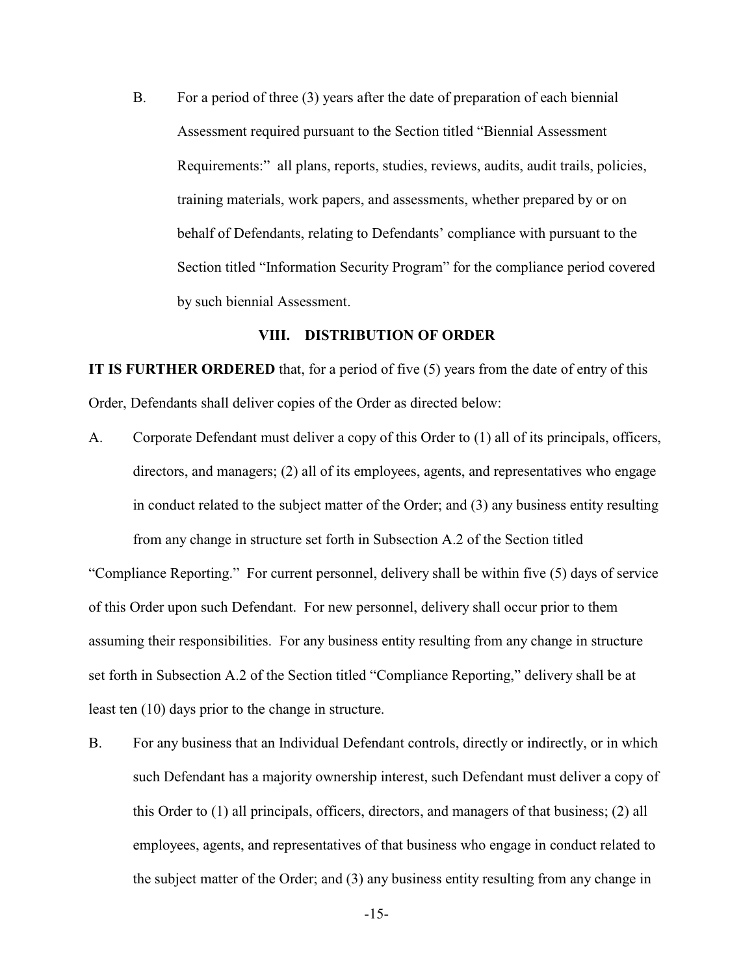B. For a period of three (3) years after the date of preparation of each biennial Assessment required pursuant to the Section titled "Biennial Assessment Requirements:" all plans, reports, studies, reviews, audits, audit trails, policies, training materials, work papers, and assessments, whether prepared by or on behalf of Defendants, relating to Defendants' compliance with pursuant to the Section titled "Information Security Program" for the compliance period covered by such biennial Assessment.

### **VIII. DISTRIBUTION OF ORDER**

**IT IS FURTHER ORDERED** that, for a period of five (5) years from the date of entry of this Order, Defendants shall deliver copies of the Order as directed below:

A. Corporate Defendant must deliver a copy of this Order to (1) all of its principals, officers, directors, and managers; (2) all of its employees, agents, and representatives who engage in conduct related to the subject matter of the Order; and (3) any business entity resulting from any change in structure set forth in Subsection A.2 of the Section titled

"Compliance Reporting." For current personnel, delivery shall be within five (5) days of service of this Order upon such Defendant. For new personnel, delivery shall occur prior to them assuming their responsibilities. For any business entity resulting from any change in structure set forth in Subsection A.2 of the Section titled "Compliance Reporting," delivery shall be at least ten (10) days prior to the change in structure.

B. For any business that an Individual Defendant controls, directly or indirectly, or in which such Defendant has a majority ownership interest, such Defendant must deliver a copy of this Order to (1) all principals, officers, directors, and managers of that business; (2) all employees, agents, and representatives of that business who engage in conduct related to the subject matter of the Order; and (3) any business entity resulting from any change in

-15-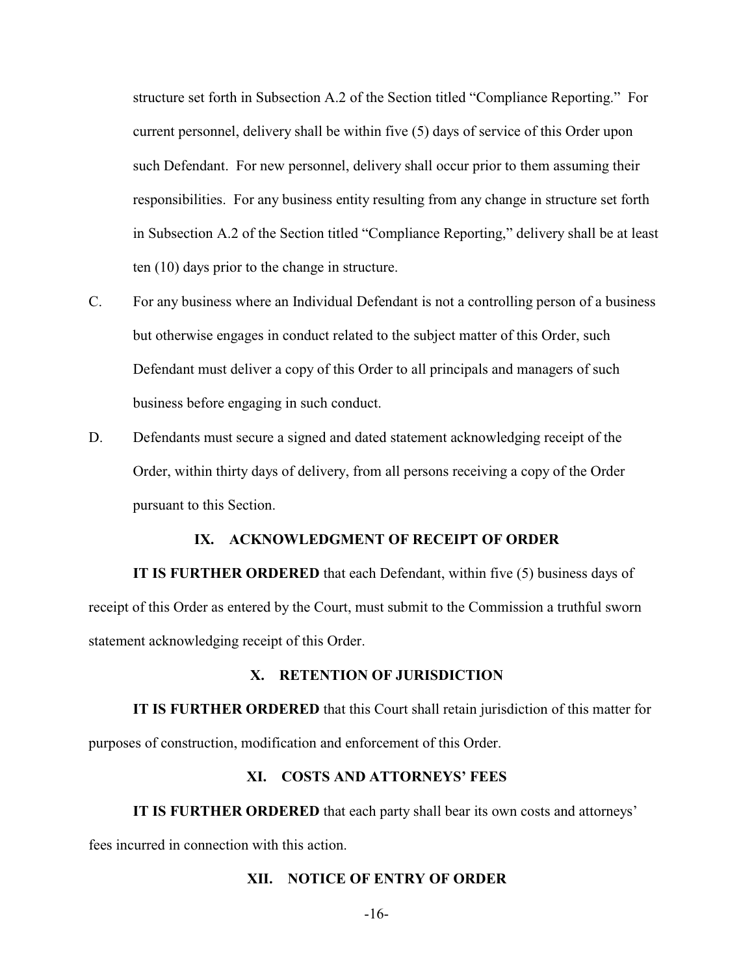structure set forth in Subsection A.2 of the Section titled "Compliance Reporting." For current personnel, delivery shall be within five (5) days of service of this Order upon such Defendant. For new personnel, delivery shall occur prior to them assuming their responsibilities. For any business entity resulting from any change in structure set forth in Subsection A.2 of the Section titled "Compliance Reporting," delivery shall be at least ten (10) days prior to the change in structure.

- C. For any business where an Individual Defendant is not a controlling person of a business but otherwise engages in conduct related to the subject matter of this Order, such Defendant must deliver a copy of this Order to all principals and managers of such business before engaging in such conduct.
- D. Defendants must secure a signed and dated statement acknowledging receipt of the Order, within thirty days of delivery, from all persons receiving a copy of the Order pursuant to this Section.

## **IX. ACKNOWLEDGMENT OF RECEIPT OF ORDER**

**IT IS FURTHER ORDERED** that each Defendant, within five (5) business days of receipt of this Order as entered by the Court, must submit to the Commission a truthful sworn statement acknowledging receipt of this Order.

#### **X. RETENTION OF JURISDICTION**

**IT IS FURTHER ORDERED** that this Court shall retain jurisdiction of this matter for purposes of construction, modification and enforcement of this Order.

### **XI. COSTS AND ATTORNEYS' FEES**

**IT IS FURTHER ORDERED** that each party shall bear its own costs and attorneys' fees incurred in connection with this action.

### **XII. NOTICE OF ENTRY OF ORDER**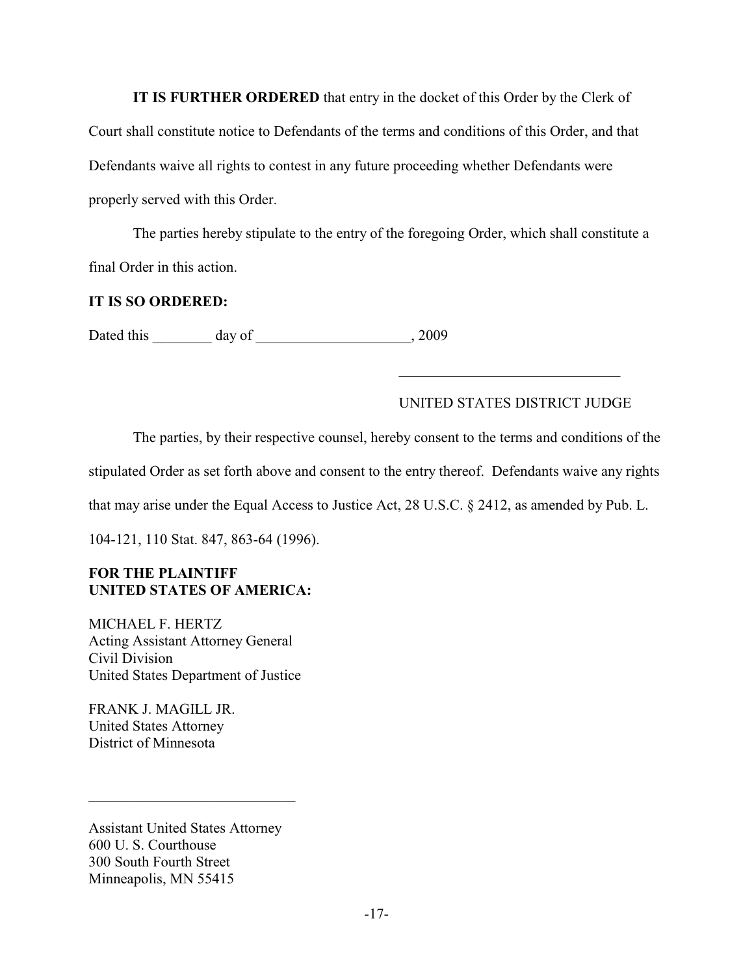**IT IS FURTHER ORDERED** that entry in the docket of this Order by the Clerk of Court shall constitute notice to Defendants of the terms and conditions of this Order, and that Defendants waive all rights to contest in any future proceeding whether Defendants were properly served with this Order.

The parties hereby stipulate to the entry of the foregoing Order, which shall constitute a final Order in this action.

# **IT IS SO ORDERED:**

Dated this day of the case of the case of  $\frac{1}{2009}$ 

# UNITED STATES DISTRICT JUDGE

\_\_\_\_\_\_\_\_\_\_\_\_\_\_\_\_\_\_\_\_\_\_\_\_\_\_\_\_\_\_

The parties, by their respective counsel, hereby consent to the terms and conditions of the stipulated Order as set forth above and consent to the entry thereof. Defendants waive any rights

that may arise under the Equal Access to Justice Act, 28 U.S.C. § 2412, as amended by Pub. L.

104-121, 110 Stat. 847, 863-64 (1996).

# **FOR THE PLAINTIFF UNITED STATES OF AMERICA:**

MICHAEL F. HERTZ Acting Assistant Attorney General Civil Division United States Department of Justice

FRANK J. MAGILL JR. United States Attorney District of Minnesota

Assistant United States Attorney 600 U. S. Courthouse 300 South Fourth Street Minneapolis, MN 55415

\_\_\_\_\_\_\_\_\_\_\_\_\_\_\_\_\_\_\_\_\_\_\_\_\_\_\_\_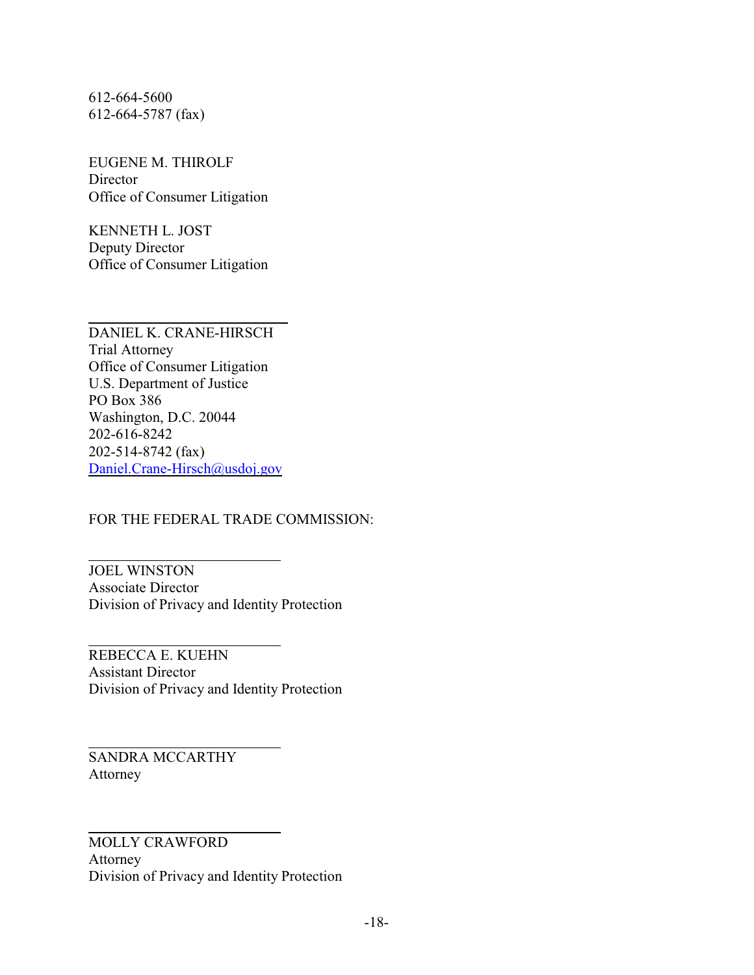612-664-5600 612-664-5787 (fax)

EUGENE M. THIROLF Director Office of Consumer Litigation

KENNETH L. JOST Deputy Director Office of Consumer Litigation

 $\overline{a}$ DANIEL K. CRANE-HIRSCH Trial Attorney Office of Consumer Litigation U.S. Department of Justice PO Box 386 Washington, D.C. 20044 202-616-8242 202-514-8742 (fax) [Daniel.Crane-Hirsch@usdoj.gov](mailto:Daniel.Crane-Hirsch@usdoj.gov)

FOR THE FEDERAL TRADE COMMISSION:

 $\overline{a}$ JOEL WINSTON Associate Director Division of Privacy and Identity Protection

l REBECCA E. KUEHN Assistant Director Division of Privacy and Identity Protection

l SANDRA MCCARTHY Attorney

l MOLLY CRAWFORD Attorney Division of Privacy and Identity Protection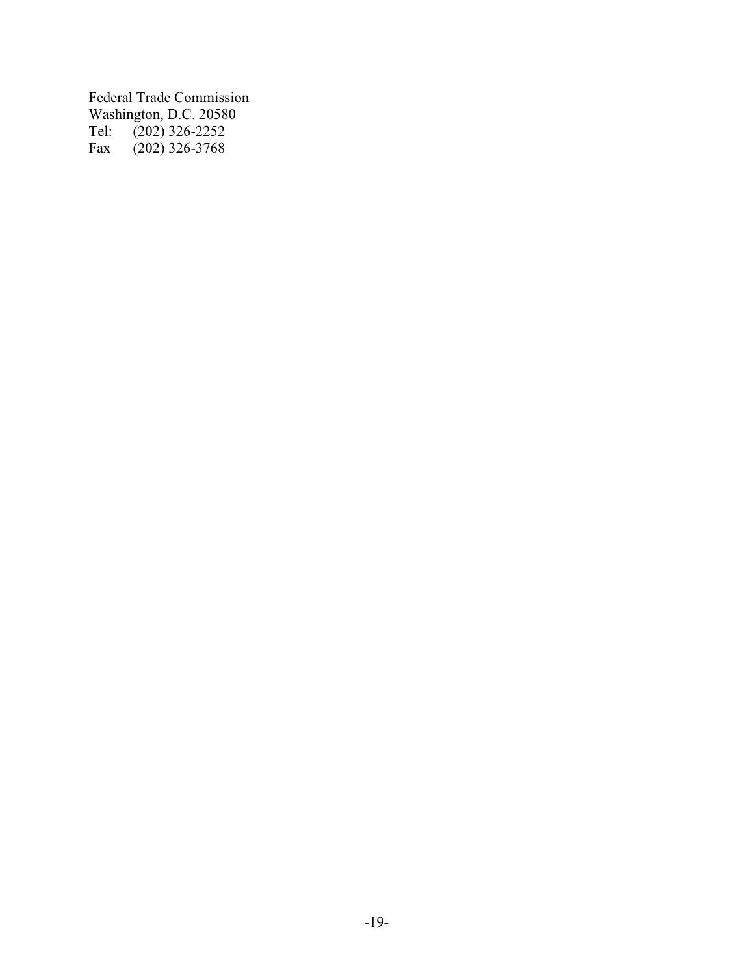Federal Trade Commission Washington, D.C. 20580<br>Tel: (202) 326-2252 Tel: (202) 326-2252 Fax (202) 326-3768